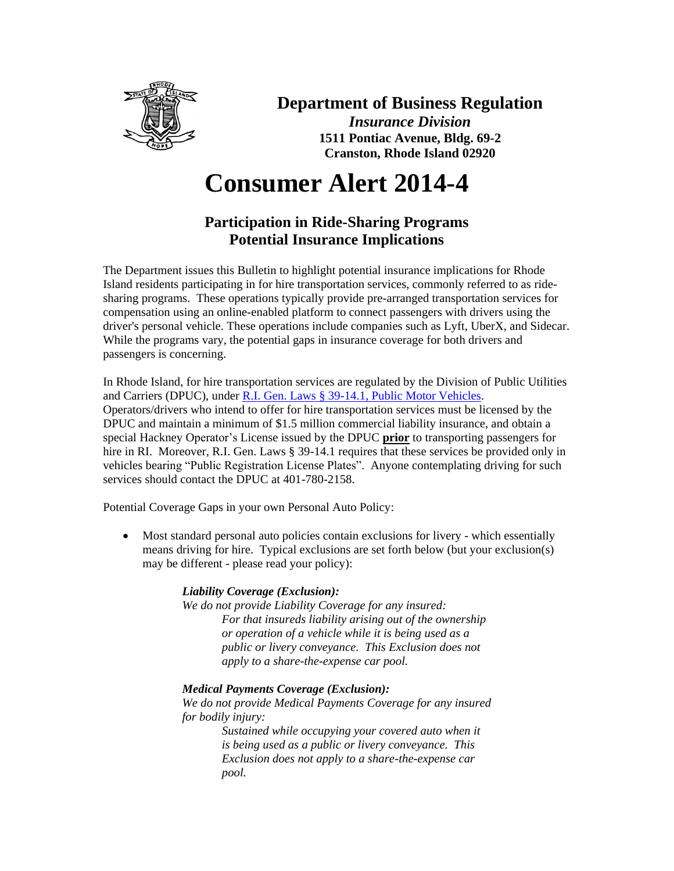

## **Department of Business Regulation**

*Insurance Division* **1511 Pontiac Avenue, Bldg. 69-2 Cranston, Rhode Island 02920**

# **Consumer Alert 2014-4**

### **Participation in Ride-Sharing Programs Potential Insurance Implications**

The Department issues this Bulletin to highlight potential insurance implications for Rhode Island residents participating in for hire transportation services, commonly referred to as ridesharing programs. These operations typically provide pre-arranged transportation services for compensation using an online-enabled platform to connect passengers with drivers using the driver's personal vehicle. These operations include companies such as Lyft, UberX, and Sidecar. While the programs vary, the potential gaps in insurance coverage for both drivers and passengers is concerning.

In Rhode Island, for hire transportation services are regulated by the Division of Public Utilities and Carriers (DPUC), under R.I. Gen. Laws § [39-14.1, Public Motor Vehicles.](http://webserver.rilin.state.ri.us/Statutes/TITLE39/39-14.1/INDEX.HTM)  Operators/drivers who intend to offer for hire transportation services must be licensed by the DPUC and maintain a minimum of \$1.5 million commercial liability insurance, and obtain a special Hackney Operator's License issued by the DPUC **prior** to transporting passengers for hire in RI. Moreover, R.I. Gen. Laws § 39-14.1 requires that these services be provided only in vehicles bearing "Public Registration License Plates". Anyone contemplating driving for such services should contact the DPUC at 401-780-2158.

Potential Coverage Gaps in your own Personal Auto Policy:

• Most standard personal auto policies contain exclusions for livery - which essentially means driving for hire. Typical exclusions are set forth below (but your exclusion(s) may be different - please read your policy):

#### *Liability Coverage (Exclusion):*

*We do not provide Liability Coverage for any insured: For that insureds liability arising out of the ownership or operation of a vehicle while it is being used as a public or livery conveyance. This Exclusion does not apply to a share-the-expense car pool.* 

#### *Medical Payments Coverage (Exclusion):*

*We do not provide Medical Payments Coverage for any insured for bodily injury:*

*Sustained while occupying your covered auto when it is being used as a public or livery conveyance. This Exclusion does not apply to a share-the-expense car pool.*